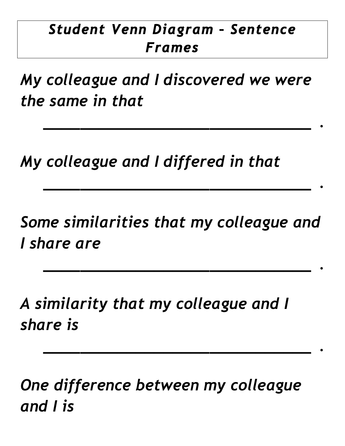## *Student Venn Diagram – Sentence Frames*

*My colleague and I discovered we were the same in that*

*\_\_\_\_\_\_\_\_\_\_\_\_\_\_\_\_\_\_\_\_\_\_\_\_\_\_\_\_\_ .*

*\_\_\_\_\_\_\_\_\_\_\_\_\_\_\_\_\_\_\_\_\_\_\_\_\_\_\_\_\_ .*

*\_\_\_\_\_\_\_\_\_\_\_\_\_\_\_\_\_\_\_\_\_\_\_\_\_\_\_\_\_ .*

*\_\_\_\_\_\_\_\_\_\_\_\_\_\_\_\_\_\_\_\_\_\_\_\_\_\_\_\_\_ .*

*My colleague and I differed in that*

*Some similarities that my colleague and I share are* 

*A similarity that my colleague and I share is*

*One difference between my colleague and I is*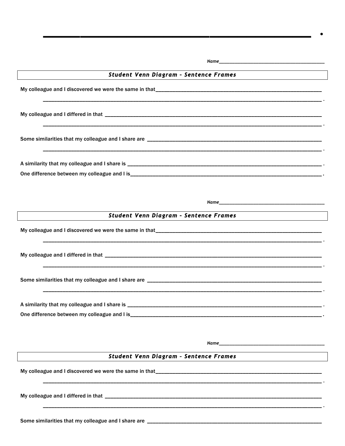| Student Venn Diagram - Sentence Frames                                                                                                                         |
|----------------------------------------------------------------------------------------------------------------------------------------------------------------|
|                                                                                                                                                                |
|                                                                                                                                                                |
|                                                                                                                                                                |
|                                                                                                                                                                |
|                                                                                                                                                                |
| <u> 1989 - Johann Stoff, Amerikaansk politiker († 1908)</u>                                                                                                    |
| Student Venn Diagram - Sentence Frames<br><u> 1989 - Johann Barn, mars ann an t-Amhain Aonaich an t-Aonaich an t-Aonaich ann an t-Aonaich ann an t-Aonaich</u> |
|                                                                                                                                                                |
|                                                                                                                                                                |
|                                                                                                                                                                |
|                                                                                                                                                                |
|                                                                                                                                                                |
|                                                                                                                                                                |
| Student Venn Diagram - Sentence Frames<br><u> 1989 - Jan Stein Stein Stein Stein Stein Stein Stein Stein Stein Stein Stein Stein Stein Stein Stein Stein S</u> |
|                                                                                                                                                                |
|                                                                                                                                                                |

Some similarities that my colleague and I share are \_